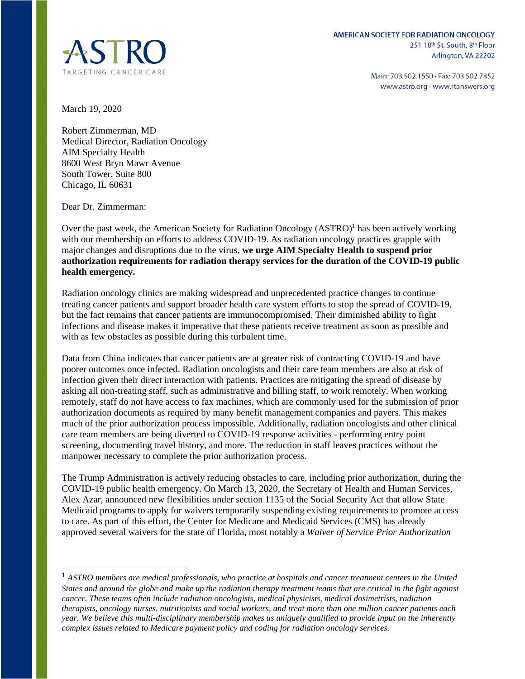

Main: 703.502.1550 · Fax: 703.502.7852 www.astro.org · www.rtanswers.org

March 19, 2020

Robert Zimmerman, MD Medical Director, Radiation Oncology AIM Specialty Health 8600 West Bryn Mawr Avenue South Tower, Suite 800 Chicago, IL 60631

Dear Dr. Zimmerman:

Over the past week, the American Society for Radiation Oncology (ASTRO)<sup>1</sup> has been actively working with our membership on efforts to address COVID-19. As radiation oncology practices grapple with major changes and disruptions due to the virus, **we urge AIM Specialty Health to suspend prior authorization requirements for radiation therapy services for the duration of the COVID-19 public health emergency.**

Radiation oncology clinics are making widespread and unprecedented practice changes to continue treating cancer patients and support broader health care system efforts to stop the spread of COVID-19, but the fact remains that cancer patients are immunocompromised. Their diminished ability to fight infections and disease makes it imperative that these patients receive treatment as soon as possible and with as few obstacles as possible during this turbulent time.

Data from China indicates that cancer patients are at greater risk of contracting COVID-19 and have poorer outcomes once infected. Radiation oncologists and their care team members are also at risk of infection given their direct interaction with patients. Practices are mitigating the spread of disease by asking all non-treating staff, such as administrative and billing staff, to work remotely. When working remotely, staff do not have access to fax machines, which are commonly used for the submission of prior authorization documents as required by many benefit management companies and payers. This makes much of the prior authorization process impossible. Additionally, radiation oncologists and other clinical care team members are being diverted to COVID-19 response activities - performing entry point screening, documenting travel history, and more. The reduction in staff leaves practices without the manpower necessary to complete the prior authorization process.

The Trump Administration is actively reducing obstacles to care, including prior authorization, during the COVID-19 public health emergency. On March 13, 2020, the Secretary of Health and Human Services, Alex Azar, announced new flexibilities under section 1135 of the Social Security Act that allow State Medicaid programs to apply for waivers temporarily suspending existing requirements to promote access to care. As part of this effort, the Center for Medicare and Medicaid Services (CMS) has already approved several waivers for the state of Florida, most notably a *Waiver of Service Prior Authorization* 

<sup>1</sup> *ASTRO members are medical professionals, who practice at hospitals and cancer treatment centers in the United States and around the globe and make up the radiation therapy treatment teams that are critical in the fight against cancer. These teams often include radiation oncologists, medical physicists, medical dosimetrists, radiation therapists, oncology nurses, nutritionists and social workers, and treat more than one million cancer patients each year. We believe this multi-disciplinary membership makes us uniquely qualified to provide input on the inherently complex issues related to Medicare payment policy and coding for radiation oncology services.*